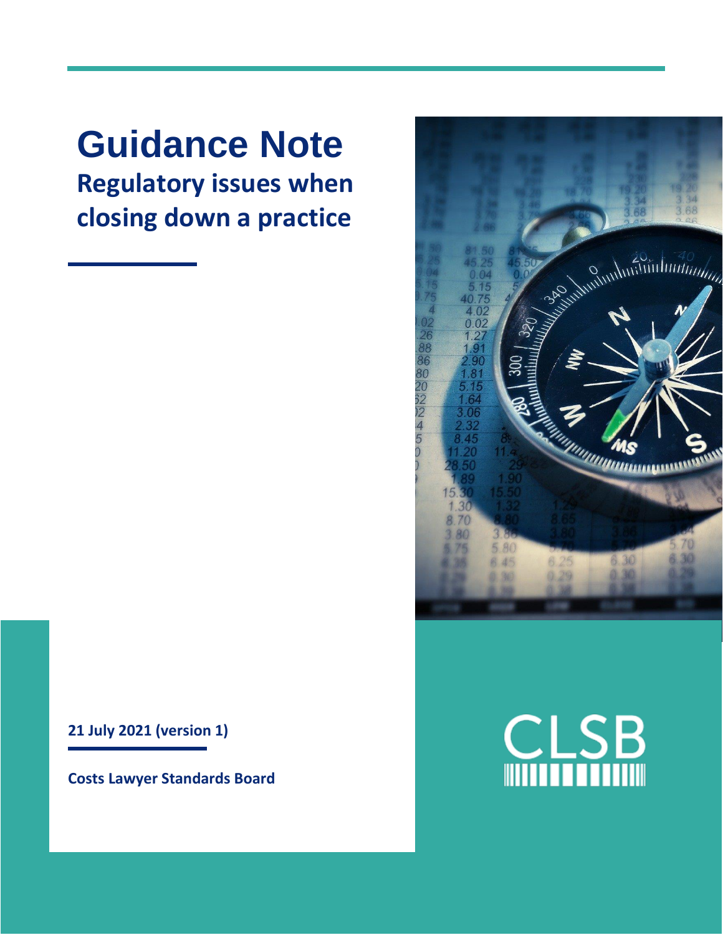# **Guidance Note Regulatory issues when closing down a practice**

**21 July 2021 (version 1)**

**Costs Lawyer Standards Board**



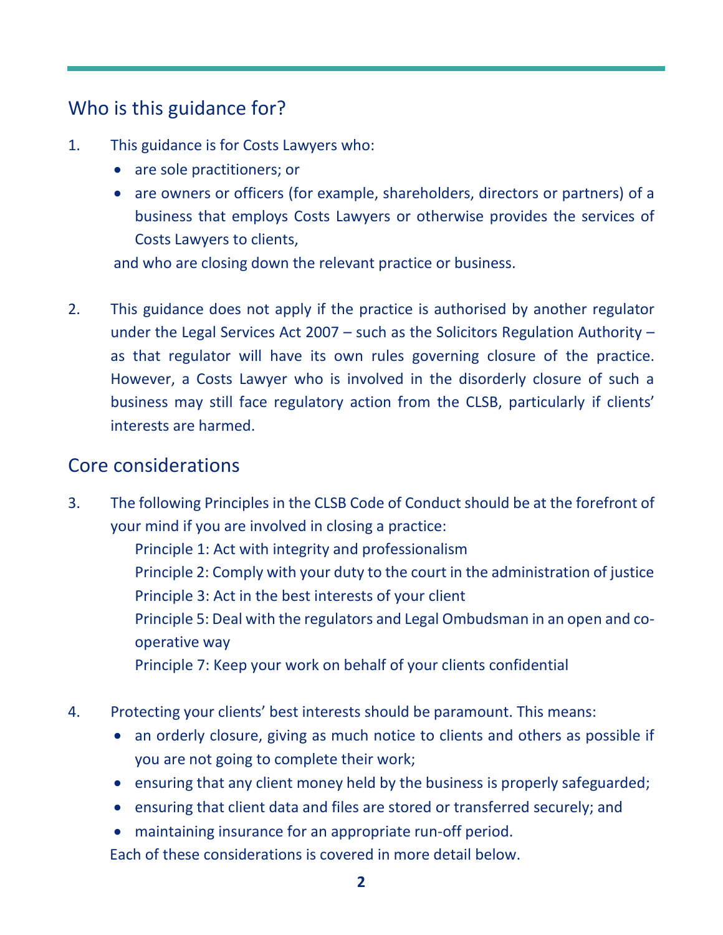# Who is this guidance for?

- 1. This guidance is for Costs Lawyers who:
	- are sole practitioners; or
	- are owners or officers (for example, shareholders, directors or partners) of a business that employs Costs Lawyers or otherwise provides the services of Costs Lawyers to clients,

and who are closing down the relevant practice or business.

2. This guidance does not apply if the practice is authorised by another regulator under the Legal Services Act 2007 – such as the Solicitors Regulation Authority – as that regulator will have its own rules governing closure of the practice. However, a Costs Lawyer who is involved in the disorderly closure of such a business may still face regulatory action from the CLSB, particularly if clients' interests are harmed.

#### Core considerations

3. The following Principles in the CLSB Code of Conduct should be at the forefront of your mind if you are involved in closing a practice:

Principle 1: Act with integrity and professionalism

Principle 2: Comply with your duty to the court in the administration of justice Principle 3: Act in the best interests of your client

Principle 5: Deal with the regulators and Legal Ombudsman in an open and cooperative way

Principle 7: Keep your work on behalf of your clients confidential

- 4. Protecting your clients' best interests should be paramount. This means:
	- an orderly closure, giving as much notice to clients and others as possible if you are not going to complete their work;
	- ensuring that any client money held by the business is properly safeguarded;
	- ensuring that client data and files are stored or transferred securely; and
	- maintaining insurance for an appropriate run-off period.

Each of these considerations is covered in more detail below.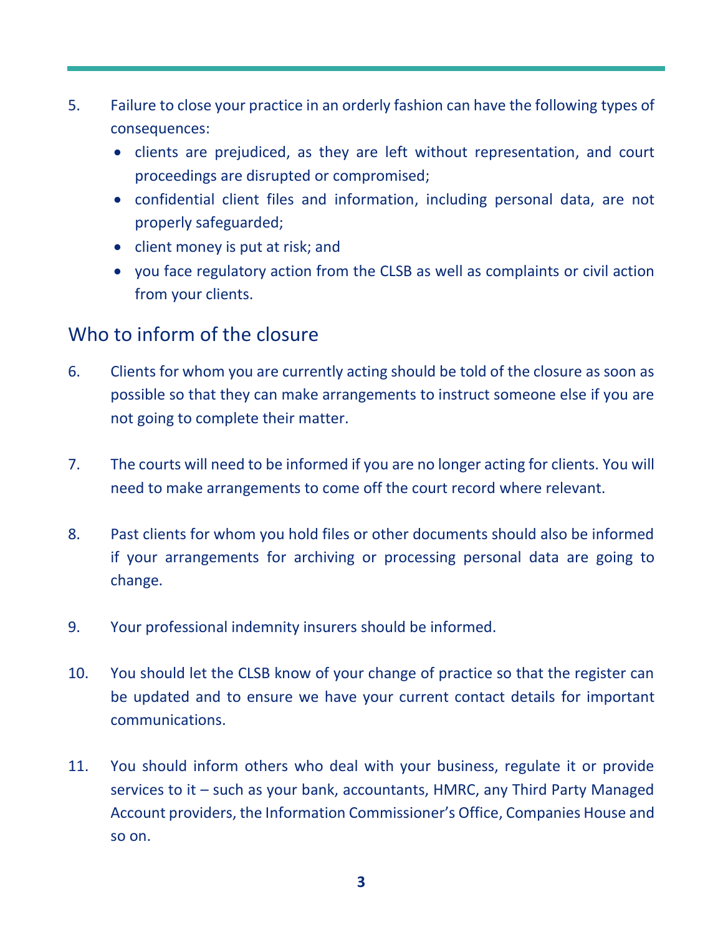- 5. Failure to close your practice in an orderly fashion can have the following types of consequences:
	- clients are prejudiced, as they are left without representation, and court proceedings are disrupted or compromised;
	- confidential client files and information, including personal data, are not properly safeguarded;
	- client money is put at risk; and
	- you face regulatory action from the CLSB as well as complaints or civil action from your clients.

### Who to inform of the closure

- 6. Clients for whom you are currently acting should be told of the closure as soon as possible so that they can make arrangements to instruct someone else if you are not going to complete their matter.
- 7. The courts will need to be informed if you are no longer acting for clients. You will need to make arrangements to come off the court record where relevant.
- 8. Past clients for whom you hold files or other documents should also be informed if your arrangements for archiving or processing personal data are going to change.
- 9. Your professional indemnity insurers should be informed.
- 10. You should let the CLSB know of your change of practice so that the register can be updated and to ensure we have your current contact details for important communications.
- 11. You should inform others who deal with your business, regulate it or provide services to it – such as your bank, accountants, HMRC, any Third Party Managed Account providers, the Information Commissioner's Office, Companies House and so on.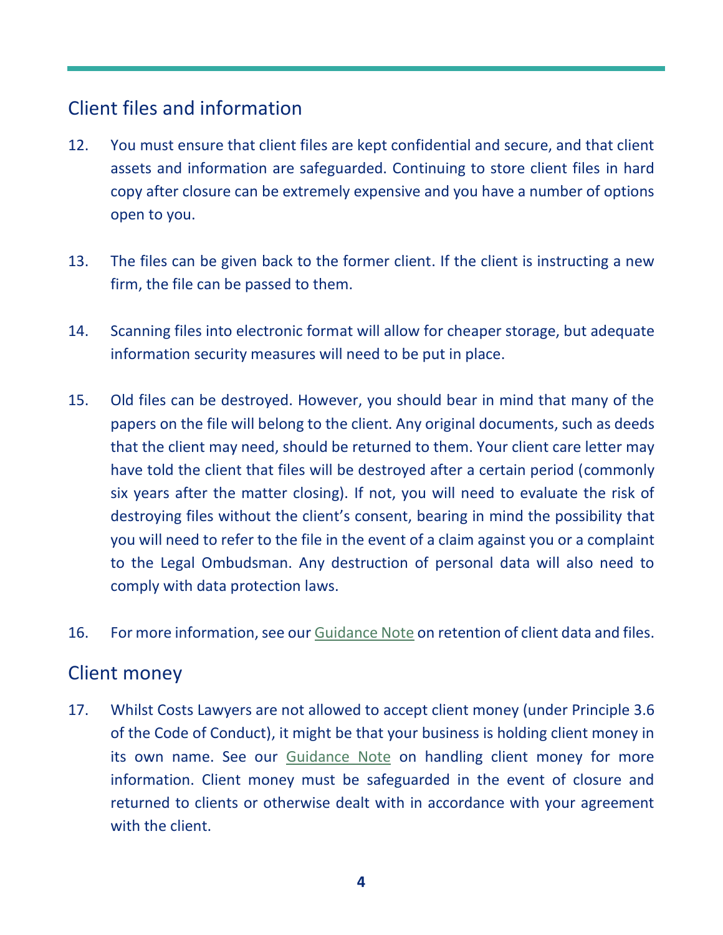# Client files and information

- 12. You must ensure that client files are kept confidential and secure, and that client assets and information are safeguarded. Continuing to store client files in hard copy after closure can be extremely expensive and you have a number of options open to you.
- 13. The files can be given back to the former client. If the client is instructing a new firm, the file can be passed to them.
- 14. Scanning files into electronic format will allow for cheaper storage, but adequate information security measures will need to be put in place.
- 15. Old files can be destroyed. However, you should bear in mind that many of the papers on the file will belong to the client. Any original documents, such as deeds that the client may need, should be returned to them. Your client care letter may have told the client that files will be destroyed after a certain period (commonly six years after the matter closing). If not, you will need to evaluate the risk of destroying files without the client's consent, bearing in mind the possibility that you will need to refer to the file in the event of a claim against you or a complaint to the Legal Ombudsman. Any destruction of personal data will also need to comply with data protection laws.
- 16. For more information, see our [Guidance Note](https://clsb.info/for-costs-lawyers/costs-lawyer-handbook/) on retention of client data and files.

#### Client money

17. Whilst Costs Lawyers are not allowed to accept client money (under Principle 3.6 of the Code of Conduct), it might be that your business is holding client money in its own name. See our [Guidance Note](https://clsb.info/download/handling-client-money-principle-3-6/?wpdmdl=12190&refresh=60d1e689127af1624368777) on handling client money for more information. Client money must be safeguarded in the event of closure and returned to clients or otherwise dealt with in accordance with your agreement with the client.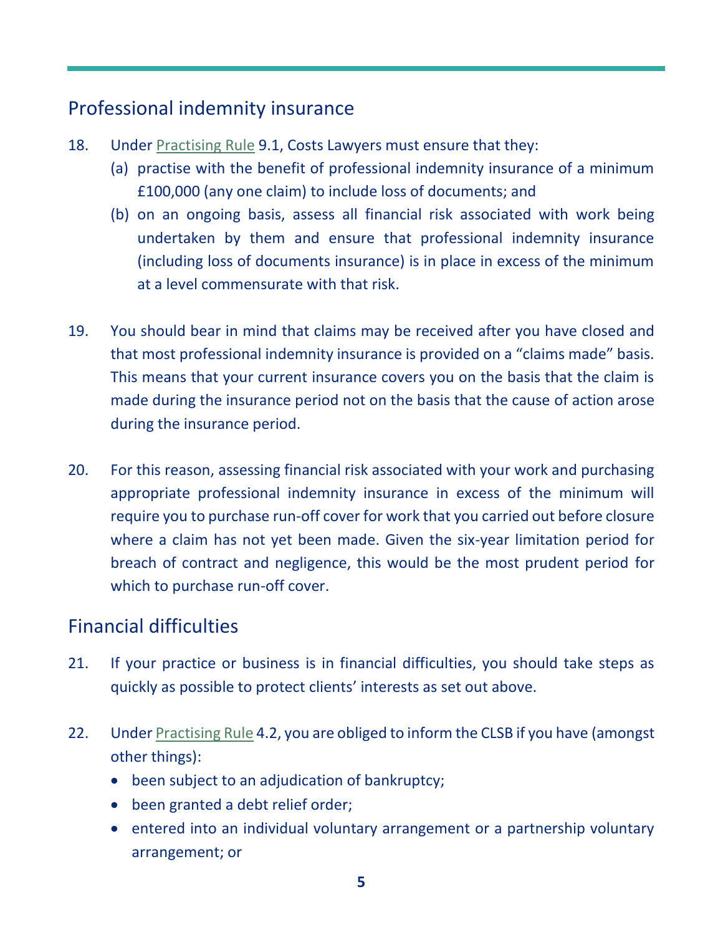# Professional indemnity insurance

- 18. Under [Practising Rule](https://clsb.info/for-costs-lawyers/costs-lawyer-handbook/) 9.1, Costs Lawyers must ensure that they:
	- (a) practise with the benefit of professional indemnity insurance of a minimum £100,000 (any one claim) to include loss of documents; and
	- (b) on an ongoing basis, assess all financial risk associated with work being undertaken by them and ensure that professional indemnity insurance (including loss of documents insurance) is in place in excess of the minimum at a level commensurate with that risk.
- 19. You should bear in mind that claims may be received after you have closed and that most professional indemnity insurance is provided on a "claims made" basis. This means that your current insurance covers you on the basis that the claim is made during the insurance period not on the basis that the cause of action arose during the insurance period.
- 20. For this reason, assessing financial risk associated with your work and purchasing appropriate professional indemnity insurance in excess of the minimum will require you to purchase run-off cover for work that you carried out before closure where a claim has not yet been made. Given the six-year limitation period for breach of contract and negligence, this would be the most prudent period for which to purchase run-off cover.

#### Financial difficulties

- 21. If your practice or business is in financial difficulties, you should take steps as quickly as possible to protect clients' interests as set out above.
- 22. Unde[r Practising Rule](https://clsb.info/for-costs-lawyers/costs-lawyer-handbook/) 4.2, you are obliged to inform the CLSB if you have (amongst other things):
	- been subject to an adjudication of bankruptcy;
	- been granted a debt relief order;
	- entered into an individual voluntary arrangement or a partnership voluntary arrangement; or